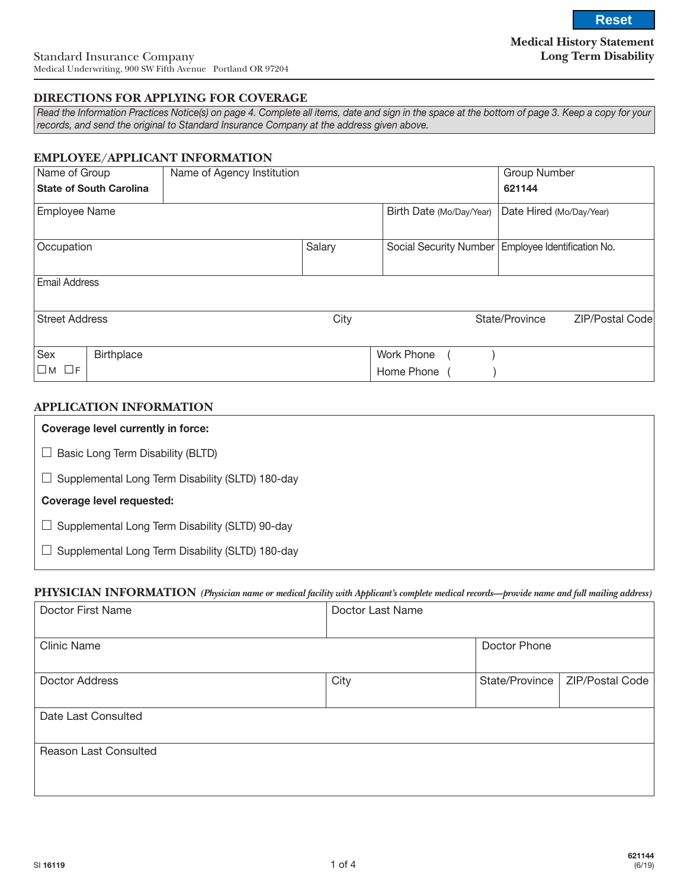**Medical History Statement Long Term Disability**

### **DIRECTIONS FOR APPLYING FOR COVERAGE**

*Read the Information Practices Notice(s) on page 4. Complete all items, date and sign in the space at the bottom of page 3. Keep a copy for your records, and send the original to Standard Insurance Company at the address given above.*

### **EMPLOYEE/APPLICANT INFORMATION**

| Name of Group         |                                | Name of Agency Institution |        |                          | <b>Group Number</b>         |                 |
|-----------------------|--------------------------------|----------------------------|--------|--------------------------|-----------------------------|-----------------|
|                       | <b>State of South Carolina</b> |                            |        |                          | 621144                      |                 |
| <b>Employee Name</b>  |                                |                            |        | Birth Date (Mo/Day/Year) | Date Hired (Mo/Day/Year)    |                 |
| Occupation            |                                |                            | Salary | Social Security Number   | Employee Identification No. |                 |
| <b>Email Address</b>  |                                |                            |        |                          |                             |                 |
| <b>Street Address</b> |                                |                            | City   |                          | State/Province              | ZIP/Postal Code |
| Sex                   | <b>Birthplace</b>              |                            |        | Work Phone               |                             |                 |
| $\Box$ M $\Box$ F     |                                |                            |        | Home Phone               |                             |                 |

### **APPLICATION INFORMATION**

| Coverage level currently in force:               |
|--------------------------------------------------|
| Basic Long Term Disability (BLTD)                |
| Supplemental Long Term Disability (SLTD) 180-day |
| Coverage level requested:                        |
| Supplemental Long Term Disability (SLTD) 90-day  |
| Supplemental Long Term Disability (SLTD) 180-day |

#### **PHYSICIAN INFORMATION** *(Physician name or medical facility with Applicant's complete medical records—provide name and full mailing address)*

| Doctor First Name     | Doctor Last Name |                |                 |
|-----------------------|------------------|----------------|-----------------|
| <b>Clinic Name</b>    |                  | Doctor Phone   |                 |
| Doctor Address        | City             | State/Province | ZIP/Postal Code |
| Date Last Consulted   |                  |                |                 |
| Reason Last Consulted |                  |                |                 |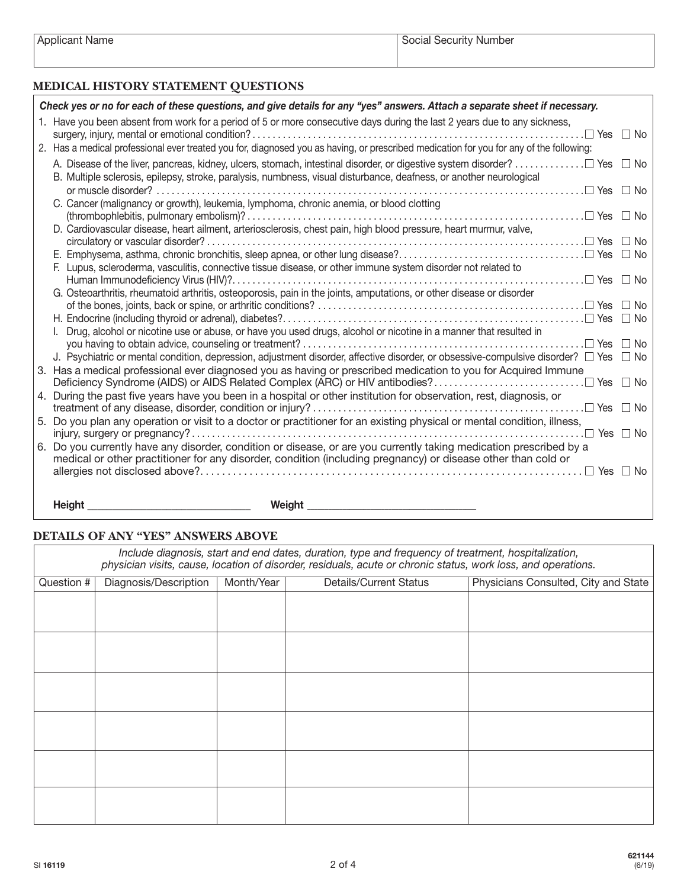| Applicant Name |  |
|----------------|--|
|----------------|--|

# **MEDICAL HISTORY STATEMENT QUESTIONS**

| Check yes or no for each of these questions, and give details for any "yes" answers. Attach a separate sheet if necessary.                        |  |
|---------------------------------------------------------------------------------------------------------------------------------------------------|--|
| 1. Have you been absent from work for a period of 5 or more consecutive days during the last 2 years due to any sickness,<br>$\Box$ Yes $\Box$ No |  |
| 2. Has a medical professional ever treated you for, diagnosed you as having, or prescribed medication for you for any of the following:           |  |
| B. Multiple sclerosis, epilepsy, stroke, paralysis, numbness, visual disturbance, deafness, or another neurological                               |  |
| or muscle disorder?                                                                                                                               |  |
| C. Cancer (malignancy or growth), leukemia, lymphoma, chronic anemia, or blood clotting                                                           |  |
|                                                                                                                                                   |  |
| D. Cardiovascular disease, heart ailment, arteriosclerosis, chest pain, high blood pressure, heart murmur, valve,                                 |  |
|                                                                                                                                                   |  |
|                                                                                                                                                   |  |
| F. Lupus, scleroderma, vasculitis, connective tissue disease, or other immune system disorder not related to                                      |  |
|                                                                                                                                                   |  |
| G. Osteoarthritis, rheumatoid arthritis, osteoporosis, pain in the joints, amputations, or other disease or disorder                              |  |
|                                                                                                                                                   |  |
| Drug, alcohol or nicotine use or abuse, or have you used drugs, alcohol or nicotine in a manner that resulted in                                  |  |
|                                                                                                                                                   |  |
| J. Psychiatric or mental condition, depression, adjustment disorder, affective disorder, or obsessive-compulsive disorder? $\Box$ Yes $\Box$ No   |  |
| 3. Has a medical professional ever diagnosed you as having or prescribed medication to you for Acquired Immune                                    |  |
|                                                                                                                                                   |  |
| 4. During the past five years have you been in a hospital or other institution for observation, rest, diagnosis, or                               |  |
|                                                                                                                                                   |  |
| 5. Do you plan any operation or visit to a doctor or practitioner for an existing physical or mental condition, illness,                          |  |
|                                                                                                                                                   |  |
| 6. Do you currently have any disorder, condition or disease, or are you currently taking medication prescribed by a                               |  |
| medical or other practitioner for any disorder, condition (including pregnancy) or disease other than cold or                                     |  |
|                                                                                                                                                   |  |
|                                                                                                                                                   |  |
| <b>Height</b><br>Weight                                                                                                                           |  |

# **DETAILS OF ANY "YES" ANSWERS ABOVE**

| Include diagnosis, start and end dates, duration, type and frequency of treatment, hospitalization,<br>physician visits, cause, location of disorder, residuals, acute or chronic status, work loss, and operations. |                       |            |                               |                                      |  |  |
|----------------------------------------------------------------------------------------------------------------------------------------------------------------------------------------------------------------------|-----------------------|------------|-------------------------------|--------------------------------------|--|--|
| Question #                                                                                                                                                                                                           | Diagnosis/Description | Month/Year | <b>Details/Current Status</b> | Physicians Consulted, City and State |  |  |
|                                                                                                                                                                                                                      |                       |            |                               |                                      |  |  |
|                                                                                                                                                                                                                      |                       |            |                               |                                      |  |  |
|                                                                                                                                                                                                                      |                       |            |                               |                                      |  |  |
|                                                                                                                                                                                                                      |                       |            |                               |                                      |  |  |
|                                                                                                                                                                                                                      |                       |            |                               |                                      |  |  |
|                                                                                                                                                                                                                      |                       |            |                               |                                      |  |  |
|                                                                                                                                                                                                                      |                       |            |                               |                                      |  |  |
|                                                                                                                                                                                                                      |                       |            |                               |                                      |  |  |
|                                                                                                                                                                                                                      |                       |            |                               |                                      |  |  |
|                                                                                                                                                                                                                      |                       |            |                               |                                      |  |  |
|                                                                                                                                                                                                                      |                       |            |                               |                                      |  |  |
|                                                                                                                                                                                                                      |                       |            |                               |                                      |  |  |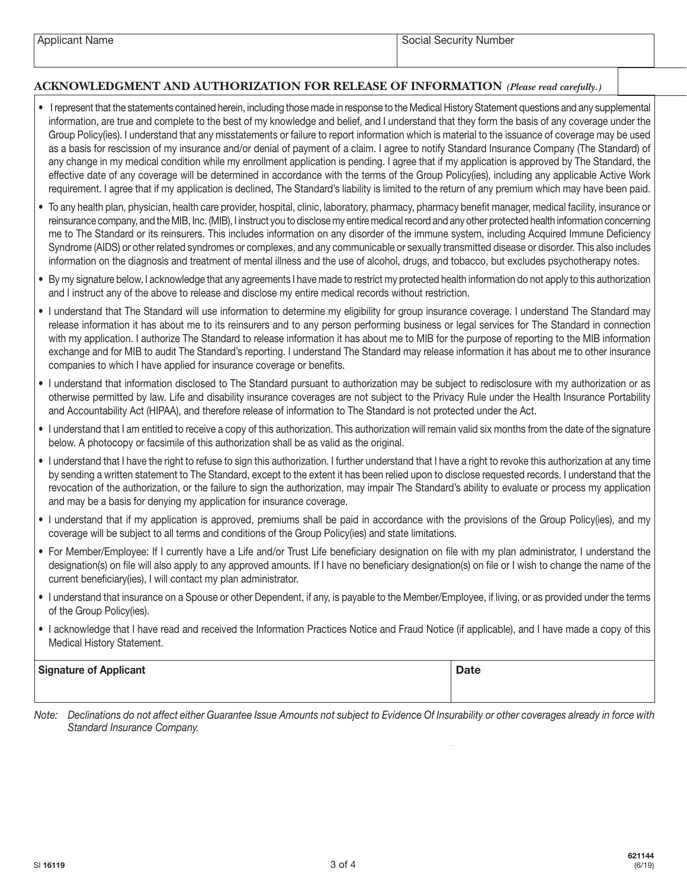# **ACKNOWLEDGMENT AND AUTHORIZATION FOR RELEASE OF INFORMATION** *(Please read carefully.)*

- I represent that the statements contained herein, including those made in response to the Medical History Statement questions and any supplemental information, are true and complete to the best of my knowledge and belief, and I understand that they form the basis of any coverage under the Group Policy(ies). I understand that any misstatements or failure to report information which is material to the issuance of coverage may be used as a basis for rescission of my insurance and/or denial of payment of a claim. I agree to notify Standard Insurance Company (The Standard) of any change in my medical condition while my enrollment application is pending. I agree that if my application is approved by The Standard, the effective date of any coverage will be determined in accordance with the terms of the Group Policy(ies), including any applicable Active Work requirement. I agree that if my application is declined, The Standard's liability is limited to the return of any premium which may have been paid.
- To any health plan, physician, health care provider, hospital, clinic, laboratory, pharmacy, pharmacy benefit manager, medical facility, insurance or reinsurance company, and the MIB, Inc. (MIB), I instruct you to disclose my entire medical record and any other protected health information concerning me to The Standard or its reinsurers. This includes information on any disorder of the immune system, including Acquired Immune Deficiency Syndrome (AIDS) or other related syndromes or complexes, and any communicable or sexually transmitted disease or disorder. This also includes information on the diagnosis and treatment of mental illness and the use of alcohol, drugs, and tobacco, but excludes psychotherapy notes.
- By my signature below, I acknowledge that any agreements I have made to restrict my protected health information do not apply to this authorization and I instruct any of the above to release and disclose my entire medical records without restriction.
- I understand that The Standard will use information to determine my eligibility for group insurance coverage. I understand The Standard may release information it has about me to its reinsurers and to any person performing business or legal services for The Standard in connection with my application. I authorize The Standard to release information it has about me to MIB for the purpose of reporting to the MIB information exchange and for MIB to audit The Standard's reporting. I understand The Standard may release information it has about me to other insurance companies to which I have applied for insurance coverage or benefits.
- I understand that information disclosed to The Standard pursuant to authorization may be subject to redisclosure with my authorization or as otherwise permitted by law. Life and disability insurance coverages are not subject to the Privacy Rule under the Health Insurance Portability and Accountability Act (HIPAA), and therefore release of information to The Standard is not protected under the Act.
- I understand that I am entitled to receive a copy of this authorization. This authorization will remain valid six months from the date of the signature below. A photocopy or facsimile of this authorization shall be as valid as the original.
- I understand that I have the right to refuse to sign this authorization. I further understand that I have a right to revoke this authorization at any time by sending a written statement to The Standard, except to the extent it has been relied upon to disclose requested records. I understand that the revocation of the authorization, or the failure to sign the authorization, may impair The Standard's ability to evaluate or process my application and may be a basis for denying my application for insurance coverage.
- I understand that if my application is approved, premiums shall be paid in accordance with the provisions of the Group Policy(ies), and my coverage will be subject to all terms and conditions of the Group Policy(ies) and state limitations.
- For Member/Employee: If I currently have a Life and/or Trust Life beneficiary designation on file with my plan administrator, I understand the designation(s) on file will also apply to any approved amounts. If I have no beneficiary designation(s) on file or I wish to change the name of the current beneficiary(ies), I will contact my plan administrator.
- I understand that insurance on a Spouse or other Dependent, if any, is payable to the Member/Employee, if living, or as provided under the terms of the Group Policy(ies).
- I acknowledge that I have read and received the Information Practices Notice and Fraud Notice (if applicable), and I have made a copy of this Medical History Statement.

## Signature of Applicant **Date**

*Note: Declinations do not affect either Guarantee Issue Amounts not subject to Evidence Of Insurability or other coverages already in force with Standard Insurance Company.*